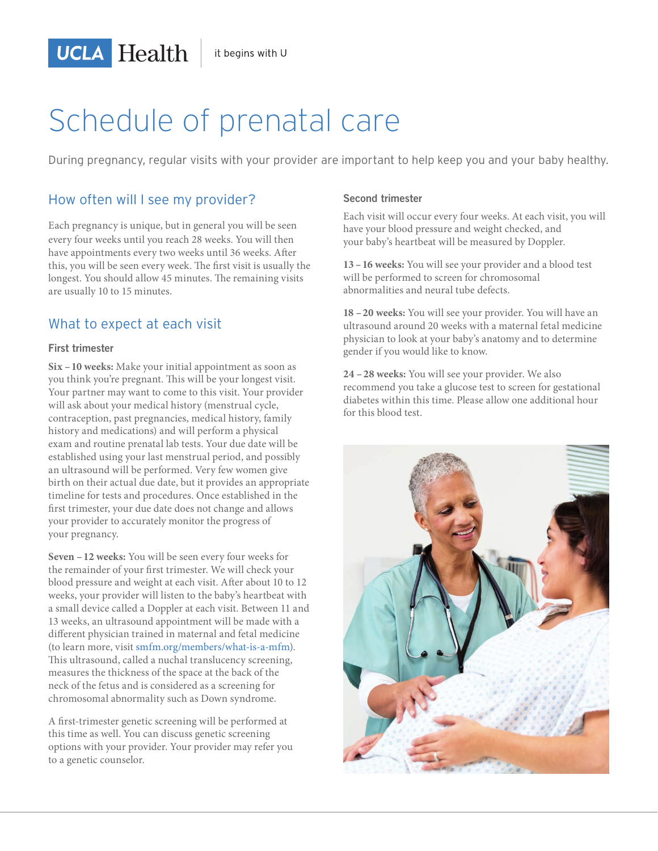# Schedule of prenatal care

During pregnancy, regular visits with your provider are important to help keep you and your baby healthy.

## How often will I see my provider?

**UCLA** Health

Each pregnancy is unique, but in general you will be seen every four weeks until you reach 28 weeks. You will then have appointments every two weeks until 36 weeks. After this, you will be seen every week. The first visit is usually the longest. You should allow 45 minutes. The remaining visits are usually 10 to 15 minutes.

## What to expect at each visit

### **First trimester**

**Six – 10 weeks:** Make your initial appointment as soon as you think you're pregnant. This will be your longest visit. Your partner may want to come to this visit. Your provider will ask about your medical history (menstrual cycle, contraception, past pregnancies, medical history, family history and medications) and will perform a physical exam and routine prenatal lab tests. Your due date will be established using your last menstrual period, and possibly an ultrasound will be performed. Very few women give birth on their actual due date, but it provides an appropriate timeline for tests and procedures. Once established in the first trimester, your due date does not change and allows your provider to accurately monitor the progress of your pregnancy.

**Seven – 12 weeks:** You will be seen every four weeks for the remainder of your first trimester. We will check your blood pressure and weight at each visit. After about 10 to 12 weeks, your provider will listen to the baby's heartbeat with a small device called a Doppler at each visit. Between 11 and 13 weeks, an ultrasound appointment will be made with a different physician trained in maternal and fetal medicine (to learn more, visit smfm.org/members/what-is-a-mfm). This ultrasound, called a nuchal translucency screening, measures the thickness of the space at the back of the neck of the fetus and is considered as a screening for chromosomal abnormality such as Down syndrome.

A first-trimester genetic screening will be performed at this time as well. You can discuss genetic screening options with your provider. Your provider may refer you to a genetic counselor.

#### **Second trimester**

Each visit will occur every four weeks. At each visit, you will have your blood pressure and weight checked, and your baby's heartbeat will be measured by Doppler.

**13 – 16 weeks:** You will see your provider and a blood test will be performed to screen for chromosomal abnormalities and neural tube defects.

**18 – 20 weeks:** You will see your provider. You will have an ultrasound around 20 weeks with a maternal fetal medicine physician to look at your baby's anatomy and to determine gender if you would like to know.

**24 – 28 weeks:** You will see your provider. We also recommend you take a glucose test to screen for gestational diabetes within this time. Please allow one additional hour for this blood test.